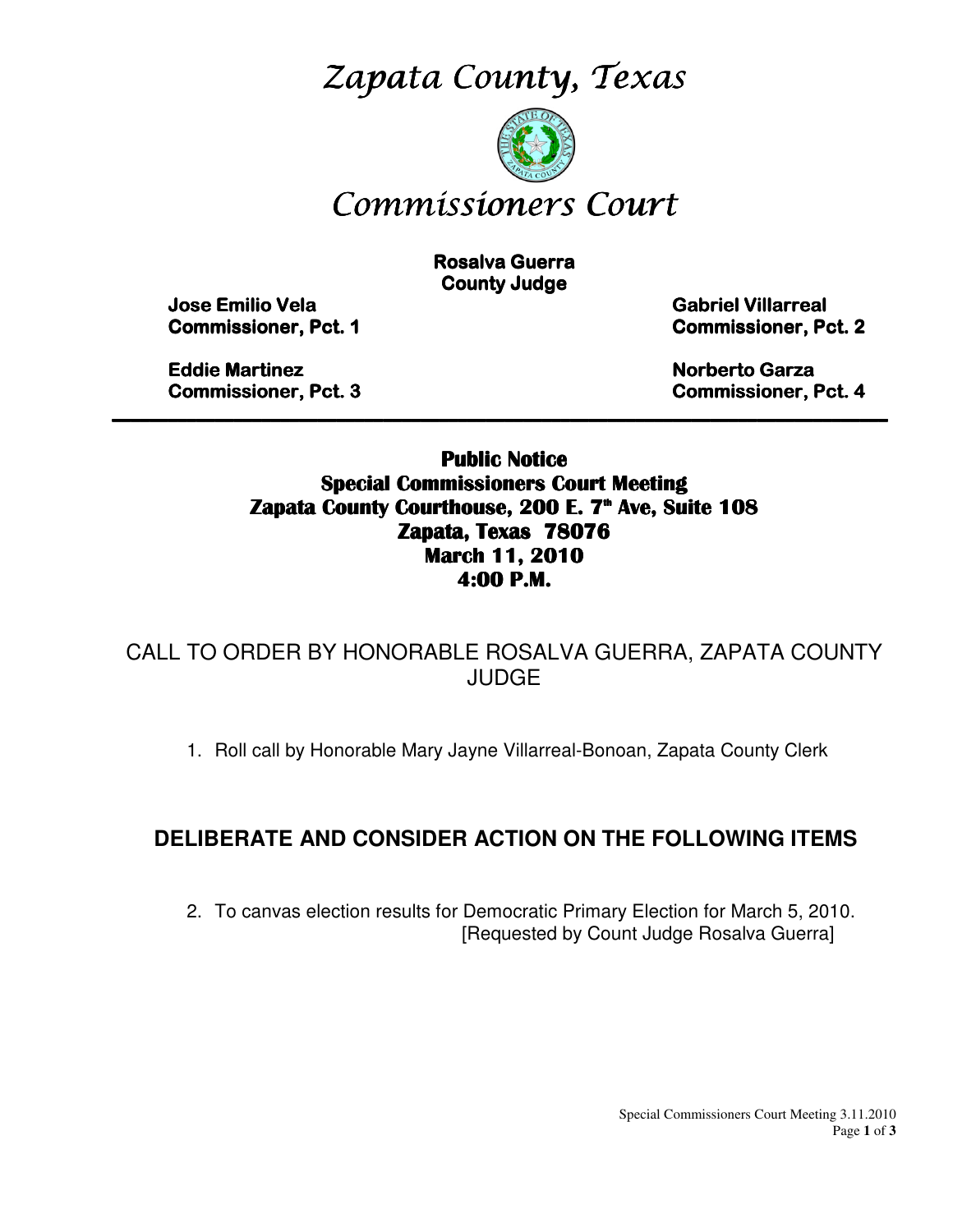Zapata County, Texas



# Commissioners Court

**Rosalva Guerra County Judge** 

 Jose Emilio Vela Emilio Vela Vela Gabriel Villarreal Villarreal Villarreal **Commissioner, Pct. 1 Commissioner, Pct. 2** 

**Eddie Martinez Norberto Garza Garza Garza Garza Garza Garza Garza Garza Garza Garza Garza Garza Garza Garza Garza Garza Garza Garza Garza Garza Garza Garza Garza Garza Garza Garza Garza Garza Garza Garza Garza Garza Garza** Commissioner, Pct. 3 3 Commissioner, Pct. 4

Public Notice Special Commissioners Court Meeting Zapata County Courthouse, 200 E. 7<sup>th</sup> Ave, Suite 108 Zapata, Texas 78076 March 11, 2010 4:00 P.M.

\_\_\_\_\_\_\_\_\_\_\_\_\_\_\_\_\_\_\_\_\_\_\_\_\_\_\_\_\_\_\_\_\_\_\_\_\_\_\_\_\_\_\_\_\_\_\_\_\_\_\_\_\_\_\_\_\_\_\_\_\_\_\_\_\_\_\_\_\_\_\_\_\_\_\_\_\_\_\_\_\_\_\_

CALL TO ORDER BY HONORABLE ROSALVA GUERRA, ZAPATA COUNTY JUDGE

1. Roll call by Honorable Mary Jayne Villarreal-Bonoan, Zapata County Clerk

### **DELIBERATE AND CONSIDER ACTION ON THE FOLLOWING ITEMS**

2. To canvas election results for Democratic Primary Election for March 5, 2010. [Requested by Count Judge Rosalva Guerra]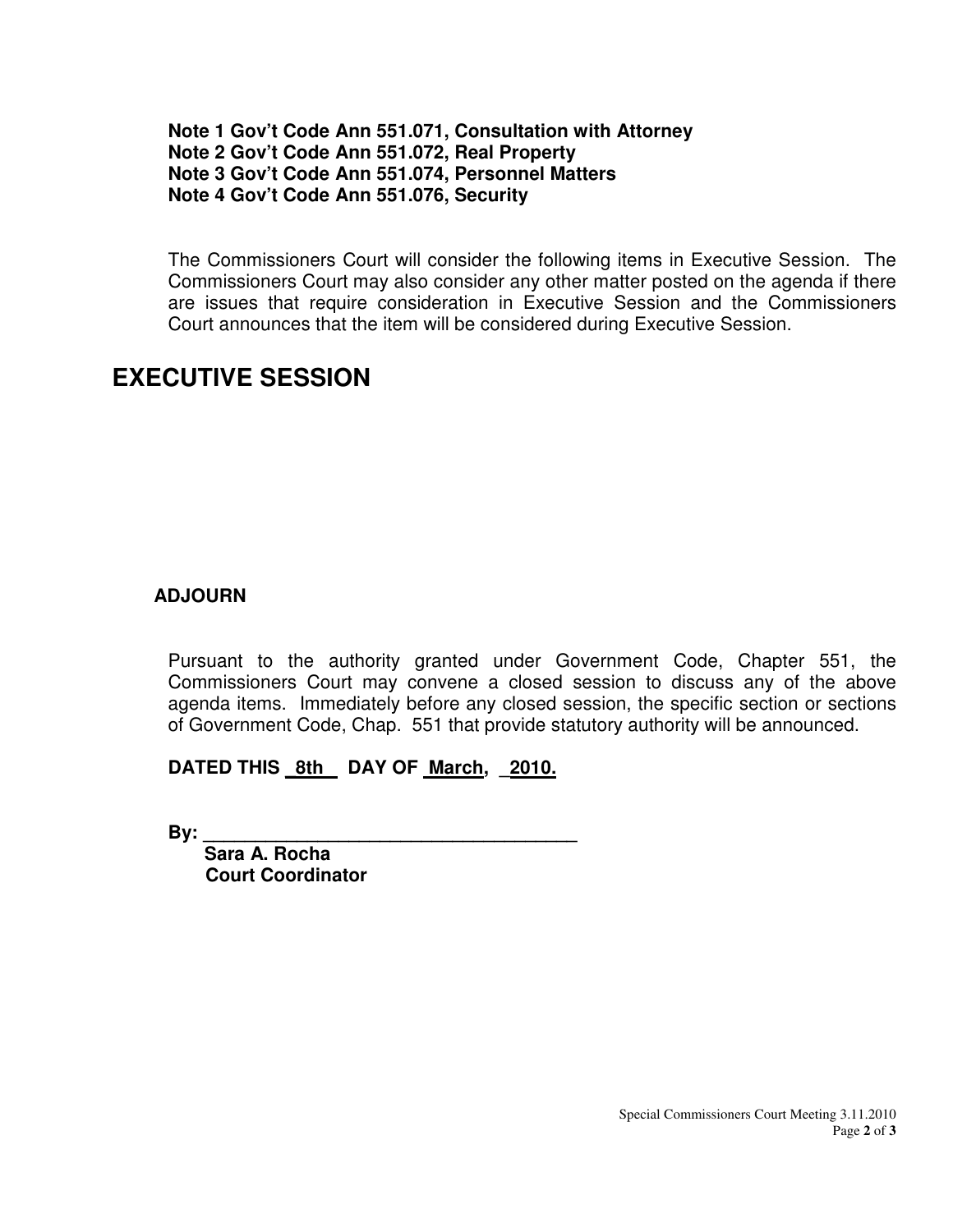#### **Note 1 Gov't Code Ann 551.071, Consultation with Attorney Note 2 Gov't Code Ann 551.072, Real Property Note 3 Gov't Code Ann 551.074, Personnel Matters Note 4 Gov't Code Ann 551.076, Security**

The Commissioners Court will consider the following items in Executive Session. The Commissioners Court may also consider any other matter posted on the agenda if there are issues that require consideration in Executive Session and the Commissioners Court announces that the item will be considered during Executive Session.

# **EXECUTIVE SESSION**

#### **ADJOURN**

Pursuant to the authority granted under Government Code, Chapter 551, the Commissioners Court may convene a closed session to discuss any of the above agenda items. Immediately before any closed session, the specific section or sections of Government Code, Chap. 551 that provide statutory authority will be announced.

### DATED THIS 8th DAY OF March, 2010.

**By: \_\_\_\_\_\_\_\_\_\_\_\_\_\_\_\_\_\_\_\_\_\_\_\_\_\_\_\_\_\_\_\_\_\_\_\_** 

 **Sara A. Rocha Court Coordinator**